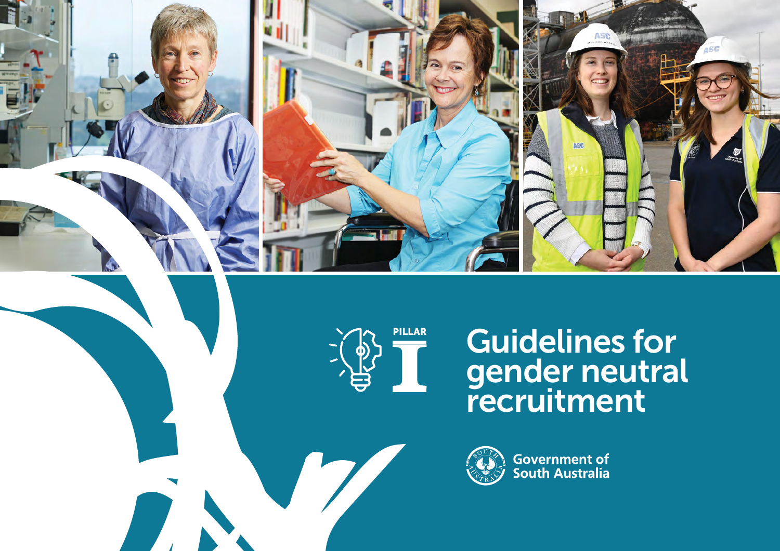



# Guidelines for gender neutral recruitment



**Government of**<br>South Australia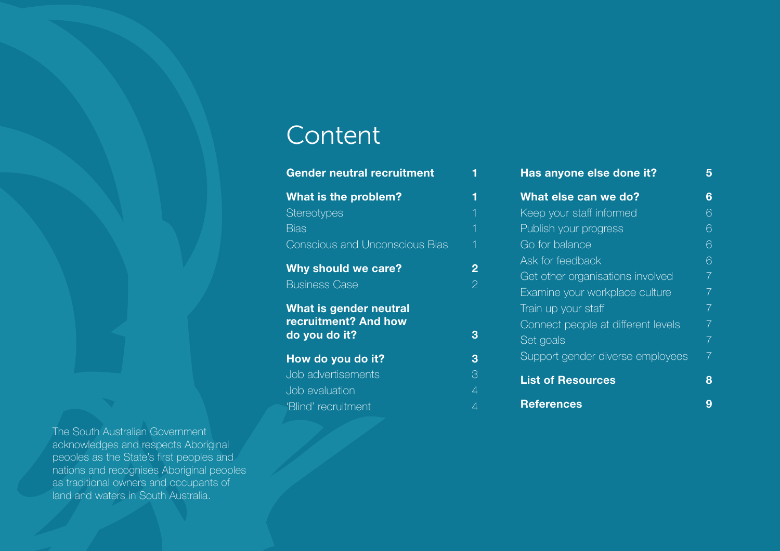## **Content**

| <b>Gender neutral recruitment</b>                               |                                  | Has anyone else done it?                                                                                 | 5                                |
|-----------------------------------------------------------------|----------------------------------|----------------------------------------------------------------------------------------------------------|----------------------------------|
| What is the problem?                                            | 1                                | What else can we do?                                                                                     | 6                                |
| <b>Stereotypes</b>                                              |                                  | Keep your staff informed                                                                                 | 6                                |
| <b>Bias</b>                                                     |                                  | Publish your progress                                                                                    | 6                                |
| <b>Conscious and Unconscious Bias</b>                           |                                  | Go for balance                                                                                           | 6                                |
| Why should we care?<br><b>Business Case</b>                     | $\overline{2}$<br>$\overline{2}$ | Ask for feedback<br>Get other organisations involved                                                     | 6<br>$\overline{7}$              |
| What is gender neutral<br>recruitment? And how<br>do you do it? | 3                                | Examine your workplace culture<br>Train up your staff<br>Connect people at different levels<br>Set goals | 7 <sup>1</sup><br>7 <sup>1</sup> |
| How do you do it?                                               | 3                                | Support gender diverse employees                                                                         | 7 <sup>1</sup>                   |
| Job advertisements<br>Job evaluation                            | 3<br>$\overline{4}$              | <b>List of Resources</b>                                                                                 | 8                                |
| 'Blind' recruitment                                             | 4                                | <b>References</b>                                                                                        | 9                                |

The South Australian Government acknowledges and respects Aboriginal peoples as the State's first peoples and nations and recognises Aboriginal peoples as traditional owners and occupants of land and waters in South Australia.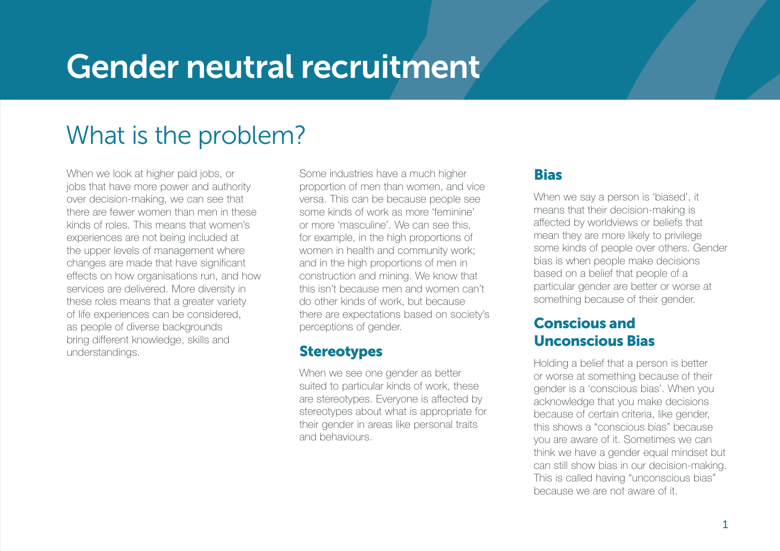# <span id="page-2-0"></span>Gender neutral recruitment

# What is the problem?

When we look at higher paid jobs, or jobs that have more power and authority over decision-making, we can see that there are fewer women than men in these kinds of roles. This means that women's experiences are not being included at the upper levels of management where changes are made that have significant effects on how organisations run, and how services are delivered. More diversity in these roles means that a greater variety of life experiences can be considered, as people of diverse backgrounds bring different knowledge, skills and understandings.

Some industries have a much higher proportion of men than women, and vice versa. This can be because people see some kinds of work as more 'feminine' or more 'masculine'. We can see this, for example, in the high proportions of women in health and community work; and in the high proportions of men in construction and mining. We know that this isn't because men and women can't do other kinds of work, but because there are expectations based on society's perceptions of gender.

### **Stereotypes**

When we see one gender as better suited to particular kinds of work, these are stereotypes. Everyone is affected by stereotypes about what is appropriate for their gender in areas like personal traits and behaviours.

## Bias

When we say a person is 'biased', it means that their decision-making is affected by worldviews or beliefs that mean they are more likely to privilege some kinds of people over others. Gender bias is when people make decisions based on a belief that people of a particular gender are better or worse at something because of their gender.

## Conscious and Unconscious Bias

Holding a belief that a person is better or worse at something because of their gender is a 'conscious bias'. When you acknowledge that you make decisions because of certain criteria, like gender, this shows a "conscious bias" because you are aware of it. Sometimes we can think we have a gender equal mindset but can still show bias in our decision-making. This is called having "unconscious bias" because we are not aware of it.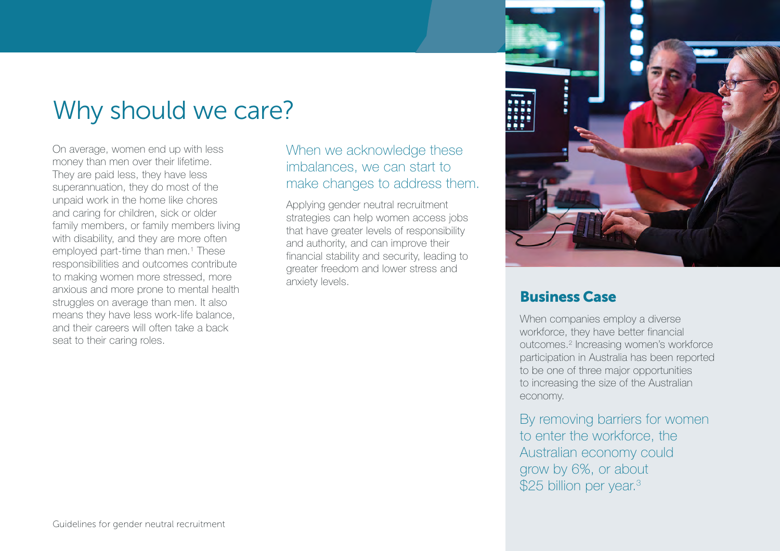## <span id="page-3-0"></span>Why should we care?

On average, women end up with less money than men over their lifetime. They are paid less, they have less superannuation, they do most of the unpaid work in the home like chores and caring for children, sick or older family members, or family members living with disability, and they are more often employed part-time than men.1 These responsibilities and outcomes contribute to making women more stressed, more anxious and more prone to mental health struggles on average than men. It also means they have less work-life balance, and their careers will often take a back seat to their caring roles.

When we acknowledge these imbalances, we can start to make changes to address them.

Applying gender neutral recruitment strategies can help women access jobs that have greater levels of responsibility and authority, and can improve their financial stability and security, leading to greater freedom and lower stress and anxiety levels.



### Business Case

When companies employ a diverse workforce, they have better financial outcomes.<sup>2</sup> Increasing women's workforce participation in Australia has been reported to be one of three major opportunities to increasing the size of the Australian economy.

By removing barriers for women to enter the workforce, the Australian economy could grow by 6%, or about \$25 billion per year.<sup>3</sup>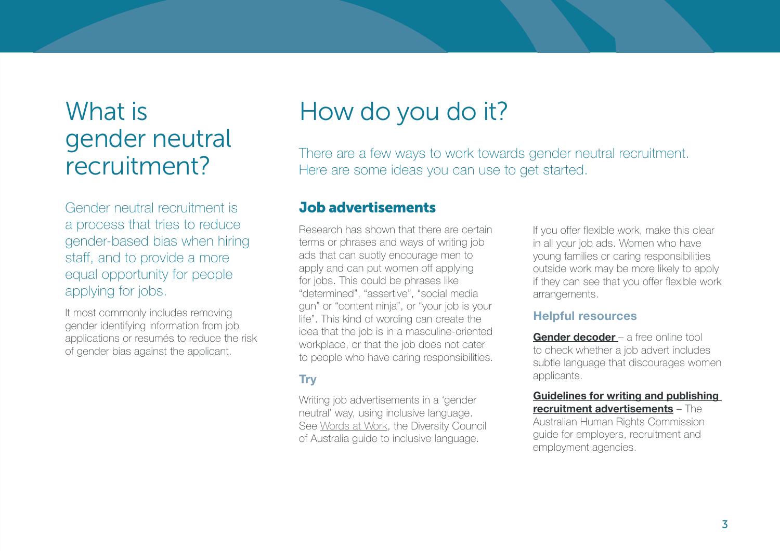# <span id="page-4-0"></span>What is gender neutral recruitment?

Gender neutral recruitment is a process that tries to reduce gender-based bias when hiring staff, and to provide a more equal opportunity for people applying for jobs.

It most commonly includes removing gender identifying information from job applications or resumés to reduce the risk of gender bias against the applicant.

# How do you do it?

There are a few ways to work towards gender neutral recruitment. Here are some ideas you can use to get started.

#### Job advertisements

Research has shown that there are certain terms or phrases and ways of writing job ads that can subtly encourage men to apply and can put women off applying for jobs. This could be phrases like "determined", "assertive", "social media gun" or "content ninja", or "your job is your life". This kind of wording can create the idea that the job is in a masculine-oriented workplace, or that the job does not cater to people who have caring responsibilities.

#### **Try**

Writing job advertisements in a 'gender neutral' way, using inclusive language. See [Words at Work](https://www.dca.org.au/research/project/wordsatwork-building-inclusion-through-power-language
 ), the Diversity Council of Australia guide to inclusive language.

If you offer flexible work, make this clear in all your job ads. Women who have young families or caring responsibilities outside work may be more likely to apply if they can see that you offer flexible work arrangements.

#### Helpful resources

[Gender decoder](http://gender-decoder.katmatfield.com/) – a free online tool to check whether a job advert includes subtle language that discourages women applicants.

[Guidelines for writing and publishing](https://www.humanrights.gov.au/publications/guidelines-writing-and-publishing-recruitment-advertisements)  [recruitment advertisements](https://www.humanrights.gov.au/publications/guidelines-writing-and-publishing-recruitment-advertisements) – The Australian Human Rights Commission

guide for employers, recruitment and employment agencies.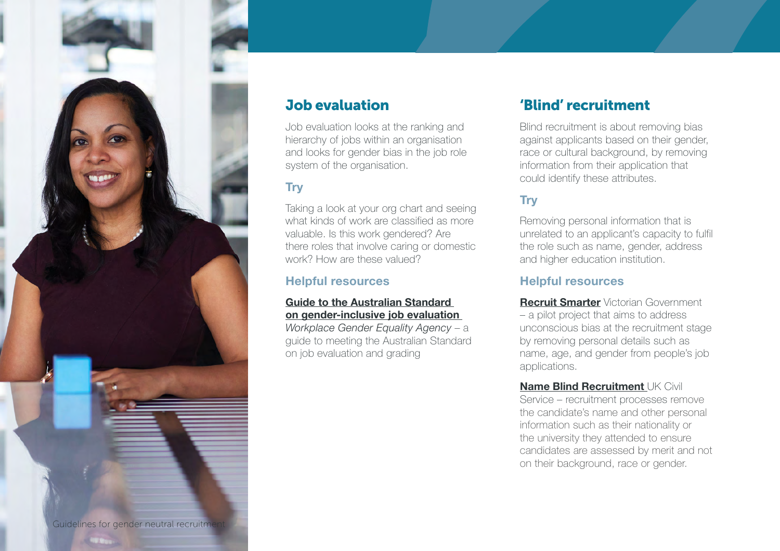<span id="page-5-0"></span>

### Job evaluation

Job evaluation looks at the ranking and hierarchy of jobs within an organisation and looks for gender bias in the job role system of the organisation.

#### **Try**

Taking a look at your org chart and seeing what kinds of work are classified as more valuable. Is this work gendered? Are there roles that involve caring or domestic work? How are these valued?

#### Helpful resources

#### [Guide to the Australian Standard](https://www.wgea.gov.au/sites/default/files/Guide_to_Australian_Standard.pdf)  [on gender-inclusive job evaluation](https://www.wgea.gov.au/sites/default/files/Guide_to_Australian_Standard.pdf)

Workplace Gender Equality Agency - a guide to meeting the Australian Standard on job evaluation and grading

### 'Blind' recruitment

Blind recruitment is about removing bias against applicants based on their gender, race or cultural background, by removing information from their application that could identify these attributes.

#### **Trv**

Removing personal information that is unrelated to an applicant's capacity to fulfil the role such as name, gender, address and higher education institution.

#### Helpful resources

**[Recruit Smarter](http://www.vic.gov.au/recruit-smarter.html)** Victorian Government – a pilot project that aims to address unconscious bias at the recruitment stage by removing personal details such as name, age, and gender from people's job applications.

**[Name Blind Recruitment](https://civilservice.blog.gov.uk/2015/11/05/name-blind-recruitment-a-commitment-to-diversity/) UK Civil** Service – recruitment processes remove the candidate's name and other personal information such as their nationality or the university they attended to ensure candidates are assessed by merit and not on their background, race or gender.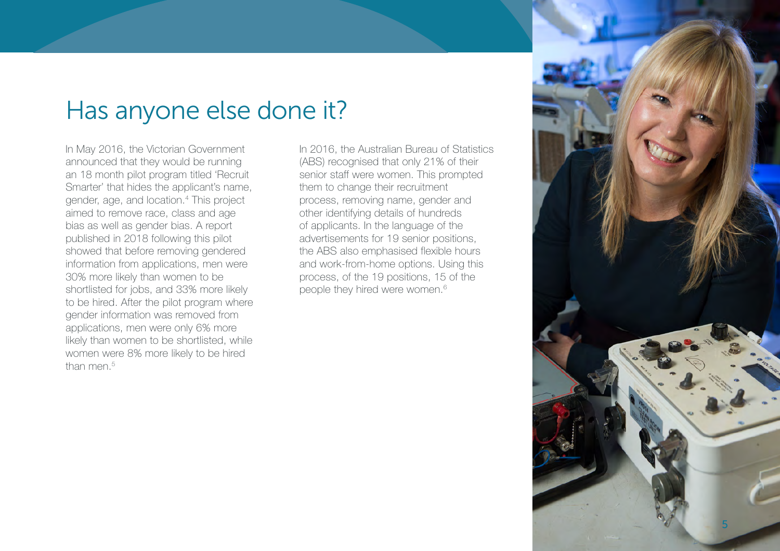## <span id="page-6-0"></span>Has anyone else done it?

In May 2016, the Victorian Government announced that they would be running an 18 month pilot program titled 'Recruit Smarter' that hides the applicant's name, gender, age, and location.4 This project aimed to remove race, class and age bias as well as gender bias. A report published in 2018 following this pilot showed that before removing gendered information from applications, men were 30% more likely than women to be shortlisted for jobs, and 33% more likely to be hired. After the pilot program where gender information was removed from applications, men were only 6% more likely than women to be shortlisted, while women were 8% more likely to be hired than men.<sup>5</sup>

In 2016, the Australian Bureau of Statistics (ABS) recognised that only 21% of their senior staff were women. This prompted them to change their recruitment process, removing name, gender and other identifying details of hundreds of applicants. In the language of the advertisements for 19 senior positions, the ABS also emphasised flexible hours and work-from-home options. Using this process, of the 19 positions, 15 of the people they hired were women.<sup>6</sup>

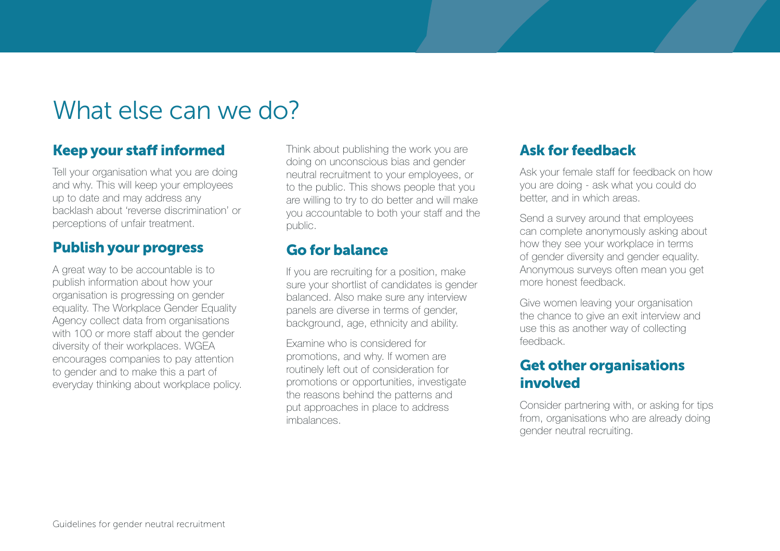## <span id="page-7-0"></span>What else can we do?

## Keep your staff informed

Tell your organisation what you are doing and why. This will keep your employees up to date and may address any backlash about 'reverse discrimination' or perceptions of unfair treatment.

## Publish your progress

A great way to be accountable is to publish information about how your organisation is progressing on gender equality. The Workplace Gender Equality Agency collect data from organisations with 100 or more staff about the gender diversity of their workplaces. WGEA encourages companies to pay attention to gender and to make this a part of everyday thinking about workplace policy.

Think about publishing the work you are doing on unconscious bias and gender neutral recruitment to your employees, or to the public. This shows people that you are willing to try to do better and will make you accountable to both your staff and the public.

## Go for balance

If you are recruiting for a position, make sure your shortlist of candidates is gender balanced. Also make sure any interview panels are diverse in terms of gender, background, age, ethnicity and ability.

Examine who is considered for promotions, and why. If women are routinely left out of consideration for promotions or opportunities, investigate the reasons behind the patterns and put approaches in place to address imbalances.

## Ask for feedback

Ask your female staff for feedback on how you are doing - ask what you could do better, and in which areas.

Send a survey around that employees can complete anonymously asking about how they see your workplace in terms of gender diversity and gender equality. Anonymous surveys often mean you get more honest feedback.

Give women leaving your organisation the chance to give an exit interview and use this as another way of collecting feedback.

## Get other organisations involved

Consider partnering with, or asking for tips from, organisations who are already doing gender neutral recruiting.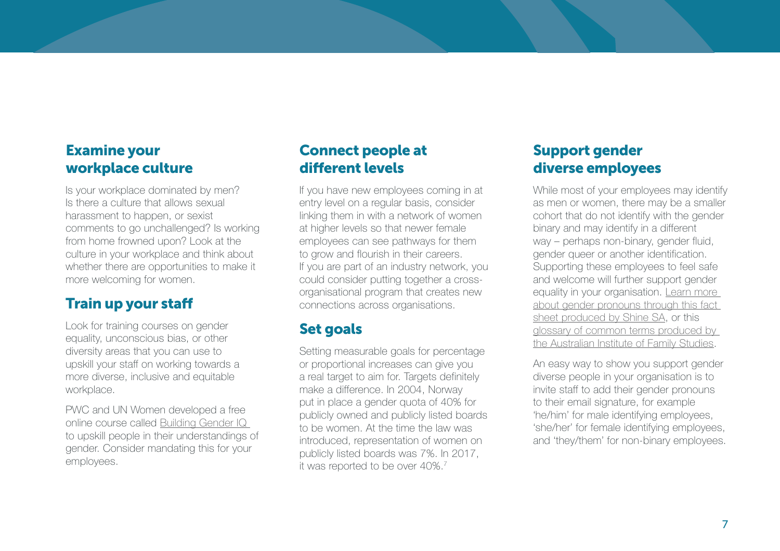### <span id="page-8-0"></span>Examine your workplace culture

Is your workplace dominated by men? Is there a culture that allows sexual harassment to happen, or sexist comments to go unchallenged? Is working from home frowned upon? Look at the culture in your workplace and think about whether there are opportunities to make it more welcoming for women.

## Train up your staff

Look for training courses on gender equality, unconscious bias, or other diversity areas that you can use to upskill your staff on working towards a more diverse, inclusive and equitable workplace.

PWC and UN Women developed a free online course called [Building Gender IQ](https://agora.unicef.org/course/info.php?id=7107)  to upskill people in their understandings of gender. Consider mandating this for your employees.

## Connect people at different levels

If you have new employees coming in at entry level on a regular basis, consider linking them in with a network of women at higher levels so that newer female employees can see pathways for them to grow and flourish in their careers. If you are part of an industry network, you could consider putting together a crossorganisational program that creates new connections across organisations.

## Set goals

Setting measurable goals for percentage or proportional increases can give you a real target to aim for. Targets definitely make a difference. In 2004, Norway put in place a gender quota of 40% for publicly owned and publicly listed boards to be women. At the time the law was introduced, representation of women on publicly listed boards was 7%. In 2017, it was reported to be over 40%.7

## Support gender diverse employees

While most of your employees may identify as men or women, there may be a smaller cohort that do not identify with the gender binary and may identify in a different way – perhaps non-binary, gender fluid, gender queer or another identification. Supporting these employees to feel safe and welcome will further support gender equality in your organisation. [Learn more](https://www.shinesa.org.au/media/2018/05/Pronouns.pdf)  [about gender pronouns through this fact](https://www.shinesa.org.au/media/2018/05/Pronouns.pdf)  [sheet produced by Shine SA](https://www.shinesa.org.au/media/2018/05/Pronouns.pdf), or this [glossary of common terms produced by](https://aifs.gov.au/cfca/publications/lgbtiq-communities)  [the Australian Institute of Family Studies](https://aifs.gov.au/cfca/publications/lgbtiq-communities).

An easy way to show you support gender diverse people in your organisation is to invite staff to add their gender pronouns to their email signature, for example 'he/him' for male identifying employees, 'she/her' for female identifying employees, and 'they/them' for non-binary employees.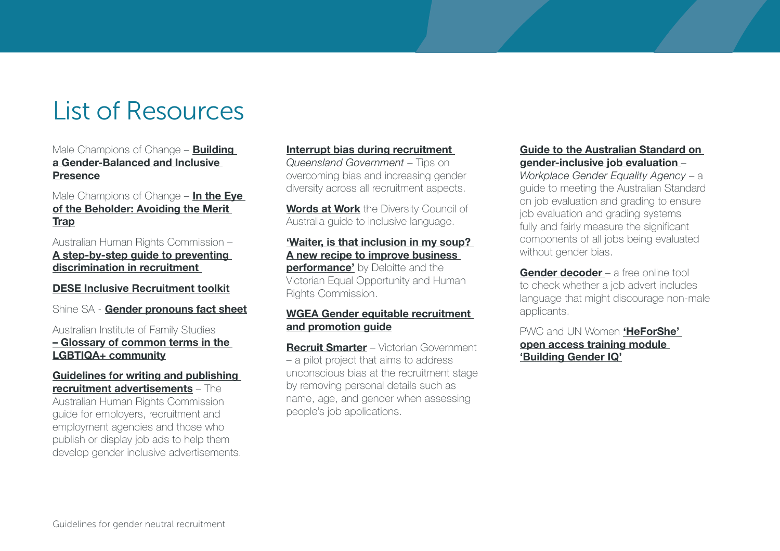# <span id="page-9-0"></span>List of Resources

Male Champions of Change - **Building** [a Gender-Balanced and Inclusive](https://malechampionsofchange.com/wp-content/uploads/2017/11/Test-the-Messages-You-Project.pdf)  [Presence](https://malechampionsofchange.com/wp-content/uploads/2017/11/Test-the-Messages-You-Project.pdf)

#### Male Champions of Change –  $In the Eve$ [of the Beholder: Avoiding the Merit](https://malechampionsofchange.com/wp-content/uploads/2016/08/MCC-CEW-Merit-Paper-FINAL.pdf)  [Trap](https://malechampionsofchange.com/wp-content/uploads/2016/08/MCC-CEW-Merit-Paper-FINAL.pdf)

Australian Human Rights Commission – [A step-by-step guide to preventing](https://www.humanrights.gov.au/employers/good-practice-good-business-factsheets/step-step-guide-preventing-discrimination)  [discrimination in recruitment](https://www.humanrights.gov.au/employers/good-practice-good-business-factsheets/step-step-guide-preventing-discrimination)

#### [DESE Inclusive Recruitment toolkit](https://www.dese.gov.au/download/10624/inclusive-recruitment-toolkit/20290/document/pdf
)

Shine SA - [Gender pronouns fact sheet](https://www.shinesa.org.au/media/2018/05/Pronouns.pdf)

#### Australian Institute of Family Studies – [Glossary of common terms in the](https://aifs.gov.au/cfca/publications/lgbtiq-communities)  [LGBTIQA+ community](https://aifs.gov.au/cfca/publications/lgbtiq-communities)

#### [Guidelines for writing and publishing](https://www.humanrights.gov.au/publications/guidelines-writing-and-publishing-recruitment-advertisements)  [recruitment advertisements](https://www.humanrights.gov.au/publications/guidelines-writing-and-publishing-recruitment-advertisements) – The

Australian Human Rights Commission guide for employers, recruitment and employment agencies and those who publish or display job ads to help them develop gender inclusive advertisements.

#### Interrupt [bias during recruitment](https://www.qld.gov.au/gov/recognise-bias-during-recruitment)

Queensland Government – Tips on overcoming bias and increasing gender diversity across all recruitment aspects.

[Words at Work](https://www.dca.org.au/research/project/wordsatwork-building-inclusion-through-power-language
 ) the Diversity Council of Australia guide to inclusive language.

#### ['Waiter, is that inclusion in my soup?](http://www2.deloitte.com/content/dam/Deloitte/au/Documents/human-capital/deloitte-au-hc-diversity-inclusion-soup-0513.pdf) A new recipe to improve business

**performance'** by Deloitte and the Victorian Equal Opportunity and Human Rights Commission.

#### [WGEA Gender equitable recruitment](https://www.wgea.gov.au/tools/recruitment-and-promotion-guide)  [and promotion guide](https://www.wgea.gov.au/tools/recruitment-and-promotion-guide)

**[Recruit Smarter](http://www.vic.gov.au/recruit-smarter.html)** – Victorian Government – a pilot project that aims to address unconscious bias at the recruitment stage by removing personal details such as name, age, and gender when assessing people's job applications.

#### [Guide to the Australian Standard on](https://www.wgea.gov.au/sites/default/files/Guide_to_Australian_Standard.pdf)  [gender-inclusive job evaluation](https://www.wgea.gov.au/sites/default/files/Guide_to_Australian_Standard.pdf) –

Workplace Gender Equality Agency - a guide to meeting the Australian Standard on job evaluation and grading to ensure job evaluation and grading systems fully and fairly measure the significant components of all jobs being evaluated without gender bias.

[Gender decoder](http://gender-decoder.katmatfield.com/) – a free online tool to check whether a job advert includes language that might discourage non-male applicants.

#### PWC and UN Women **'HeForShe'** [open access training module](https://agora.unicef.org/course/info.php?id=7107)  ['Building Gender IQ'](https://agora.unicef.org/course/info.php?id=7107)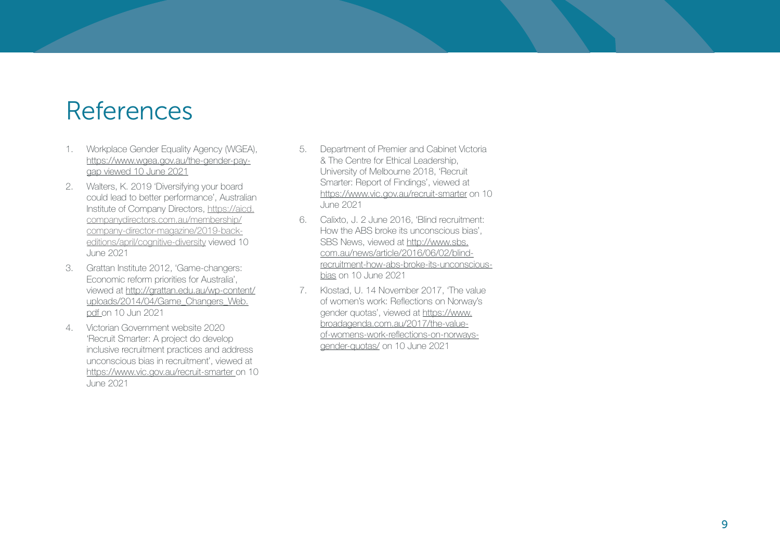## <span id="page-10-0"></span>References

- 1. Workplace Gender Equality Agency (WGEA), [https://www.wgea.gov.au/the-gender-pay](https://www.wgea.gov.au/the-gender-pay-gap)[gap](https://www.wgea.gov.au/the-gender-pay-gap) viewed 10 June 2021
- 2. Walters, K. 2019 'Diversifying your board could lead to better performance', Australian Institute of Company Directors, [https://aicd.](https://aicd.companydirectors.com.au/membership/company-director-magazine/2019-back-editions/april/cognitive-diversity) [companydirectors.com.au/membership/](https://aicd.companydirectors.com.au/membership/company-director-magazine/2019-back-editions/april/cognitive-diversity) [company-director-magazine/2019-back](https://aicd.companydirectors.com.au/membership/company-director-magazine/2019-back-editions/april/cognitive-diversity)[editions/april/cognitive-diversity](https://aicd.companydirectors.com.au/membership/company-director-magazine/2019-back-editions/april/cognitive-diversity) viewed 10 June 2021
- 3. Grattan Institute 2012, 'Game-changers: Economic reform priorities for Australia', viewed at [http://grattan.edu.au/wp-content/](http://grattan.edu.au/wp-content/uploads/2014/04/Game_Changers_Web.pdf) [uploads/2014/04/Game\\_Changers\\_Web.](http://grattan.edu.au/wp-content/uploads/2014/04/Game_Changers_Web.pdf) [pdf](http://grattan.edu.au/wp-content/uploads/2014/04/Game_Changers_Web.pdf) on 10 Jun 2021
- 4. Victorian Government website 2020 'Recruit Smarter: A project do develop inclusive recruitment practices and address unconscious bias in recruitment', viewed at <https://www.vic.gov.au/recruit-smarter> on 10 June 2021
- 5. Department of Premier and Cabinet Victoria & The Centre for Ethical Leadership, University of Melbourne 2018, 'Recruit Smarter: Report of Findings', viewed at <https://www.vic.gov.au/recruit-smarter> on 10 June 2021
- 6. Calixto, J. 2 June 2016, 'Blind recruitment: How the ABS broke its unconscious bias', SBS News, viewed at [http://www.sbs.](http://www.sbs.com.au/news/article/2016/06/02/blind-recruitment-how-abs-broke-its-unconscious-bias) [com.au/news/article/2016/06/02/blind](http://www.sbs.com.au/news/article/2016/06/02/blind-recruitment-how-abs-broke-its-unconscious-bias)[recruitment-how-abs-broke-its-unconscious](http://www.sbs.com.au/news/article/2016/06/02/blind-recruitment-how-abs-broke-its-unconscious-bias)[bias](http://www.sbs.com.au/news/article/2016/06/02/blind-recruitment-how-abs-broke-its-unconscious-bias) on 10 June 2021
- 7. Klostad, U. 14 November 2017, 'The value of women's work: Reflections on Norway's gender quotas', viewed at [https://www.](https://www.broadagenda.com.au/2017/the-value-of-womens-work-reflections-on-norways-gender-quotas/) [broadagenda.com.au/2017/the-value](https://www.broadagenda.com.au/2017/the-value-of-womens-work-reflections-on-norways-gender-quotas/)[of-womens-work-reflections-on-norways](https://www.broadagenda.com.au/2017/the-value-of-womens-work-reflections-on-norways-gender-quotas/)[gender-quotas/](https://www.broadagenda.com.au/2017/the-value-of-womens-work-reflections-on-norways-gender-quotas/) on 10 June 2021